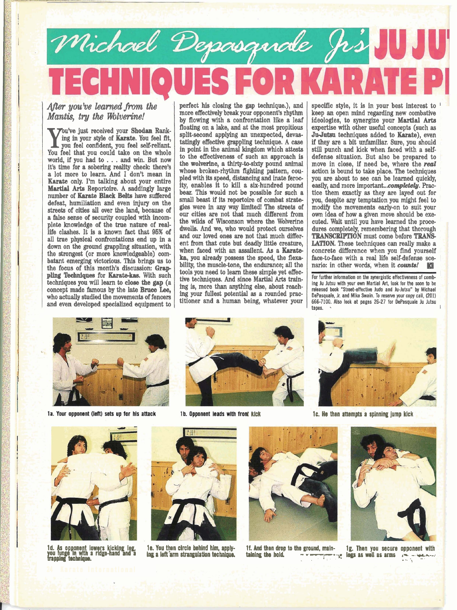## Michael Depasquale J.S.  $\left| \right|$

After you've learned from the *Mantis, tru the Wolverine!* 

**W** ing in your style of Karate. You feel fit, you feel confident, you feel self-reliant. You feel that you could take on the whole world, if you had to . . . and **win.** But now it's time for a sobering reality check: there's a lot more to learn. And I don't mean in **Knrata** only. I'm talking about your entire **Martial** Arts Reportoire. A saddingly large number of mate **Black** Belts have sudtered defeat, humiliation and even injury on the streets of cities all over the land, because of a false sense of security coupled with incomplete knowledge of the true nature of reallife clashes. It is a known fact that **06%** of all true physical confrontations end up in a down on the ground grappling situation, with the strongest (or more knowledgeable) combatant emerging victorious. This brings us to the focus of this month's discussion: Grap pling Techniques for Karate-kas. With such techniques you will learn to **do88 the gap** (a concept made famous by the late **Bruce Lee,**  $\begin{bmatrix} \text{mg} & \text{mg} & \text{mg} \\ \text{mg} & \text{your} & \text{fullest potential as a rounded prac-} \end{bmatrix}$ who **actually** studied **the** movements of fencers and even developed specialized equipment to

perfect his closing the gap technique.), and<br>more effectively break your opponent's rhythm by flowing with a confrontation like a leaf floating on a lake, and at the most propitious split-second applying an unexpected, devastatingly effective grappling technique. A case in point in the animal kingdom which attests to the effectiveness of such an approach is the wohrine, a thirty-to-sixty pound **animal**  whose broken-rhythm fighting pattern, coupled with its speed, distancing and **inate** ferocbear. This would not be possible for such a small beast if its reportoire of combat strategies were in any **way** limited! The streets of our cities are not that much different from the wilds of Wisconson where the Wolverine dwells. And we, who would protect ourselves and our loved ones are not that much different from that cute but deadly little creature, when faced with an assailent. As a **Karateka,** you already possess the speed, the **flexa**bility, the muscle-tone, the endurance; all the tools you need to learn these simple yet effective techniques. And since Martial Arts training is, more than **anything** else, about reachtitioner and a human being, whatever your

specific style, it is in your best interest to keep an open mind regarding new combative ideologies, to synergize your **Martial Arts** expertise with other useful concepts (such as **JuJutsu** techniques added to Karate), even if they are a bit unfamiliar. Sure, you should still punch and kick when faced with a selfdefense situation. But also be prepared to move in close, if need be, where the *real*  action is bound **to** take place. The techniques you are about to see can be learned quickly, easily, and more important...completely. Practice them **exactly** as they are layed out for you, despite **any** temptation you might feel to modify the movements early-on to suit your own idea of how a given move should be **exe**cuted. Wait until you have learned the procedures completely, remembering that thorough **TRANSCRIPTION** must come before **TRANS LATION.** These techniques can really make a concrete difference when you find yourself face-to-face with a real life self-defense scenario: in other words, when it **counts! KB** 

For further information on the synergistic effectiveness of comb**ing Ju Jutsu with your own Martial Art, look for the saan to be released book "Street-effective Judo and Ju-Jutsu" by Michael DePasquale, Jr. and Mike Swain. To reserve pur** copy **call, (201) 666-7100. Also look at pages 26-27 for DePasquale Ju Jutsu tapes.** .



1a. Your opponent (left) sets up for his attack



**1b. Opponent leads with front kick IC. He then attempts a spinning jump kick** 





**Id. As opponent lowers kicking leg, 1e. You then circle behind him, apply- 1f. And then drop to the ground, main- 1g. Then you secure opponent with you lunge in with a ridge-hand and a** ing a left arm strangulation







**IOU Iunm in lh aridge-hand and a ing a ieftirm strangulation teohnique. tpining Ule hold.** - **~-,-\*-p legs as well as arms** ,-,- **ulu-2 rappig technique. ...** ,